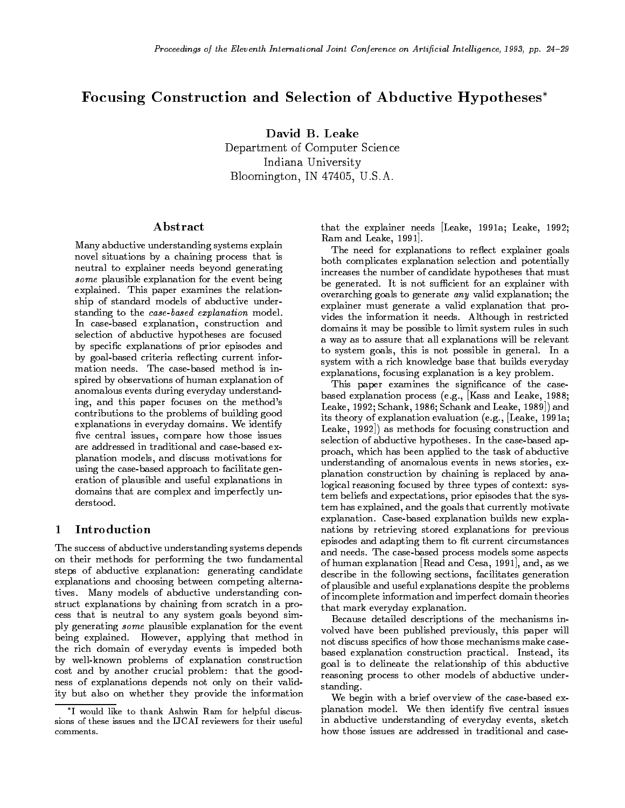# Focusing Construction and Selection of Abductive Hypotheses

David B. Leake Department of Computer Science Indiana University Bloomington, IN 47405, U.S.A.

### **Abstract**

Many abductive understanding systems explain novel situations by a chaining process that is neutral to explainer needs beyond generating some plausible explanation for the event being explained. This paper examines the relationship of standard models of abductive understanding to the case-based explanation model. In case-based explanation, construction and selection of abductive hypotheses are focused by specific explanations of prior episodes and by goal-based criteria reflecting current information needs. The case-based method is inspired by observations of human explanation of anomalous events during everyday understanding, and this paper focuses on the method's contributions to the problems of building good explanations in everyday domains. We identify five central issues, compare how those issues are addressed in traditional and case-based explanation models, and discuss motivations for using the case-based approach to facilitate generation of plausible and useful explanations in domains that are complex and imperfectly understood.

#### Introduction  $\mathbf{1}$

The success of abductive understanding systems depends on their methods for performing the two fundamental steps of abductive explanation: generating candidate explanations and choosing between competing alternatives. Many models of abductive understanding construct explanations by chaining from scratch in a process that is neutral to any system goals beyond simply generating some plausible explanation for the event being explained. However, applying that method in the rich domain of everyday events is impeded both by well-known problems of explanation construction cost and by another crucial problem: that the goodness of explanations depends not only on their validity but also on whether they provide the information that the explainer needs [Leake, 1991a; Leake, 1992; Ram and Leake, 1991].

The need for explanations to reflect explainer goals both complicates explanation selection and potentially increases the number of candidate hypotheses that must be generated. It is not sufficient for an explainer with overarching goals to generate any valid explanation; the explainer must generate a valid explanation that provides the information it needs. Although in restricted domains it may be possible to limit system rules in such a way as to assure that all explanations will be relevant to system goals, this is not possible in general. In a system with a rich knowledge base that builds everyday explanations, focusing explanation is a key problem.

This paper examines the significance of the casebased explanation process (e.g., [Kass and Leake, 1988; Leake, 1992; Schank, 1986; Schank and Leake, 1989]) and its theory of explanation evaluation (e.g., [Leake, 1991a; Leake, 1992]) as methods for focusing construction and selection of abductive hypotheses. In the case-based approach, which has been applied to the task of abductive understanding of anomalous events in news stories, explanation construction by chaining is replaced by analogical reasoning focused by three types of context: system beliefs and expectations, prior episodes that the system has explained, and the goals that currently motivate explanation. Case-based explanation builds new explanations by retrieving stored explanations for previous episodes and adapting them to fit current circumstances and needs. The case-based process models some aspects of human explanation [Read and Cesa, 1991], and, as we describe in the following sections, facilitates generation of plausible and useful explanations despite the problems of incomplete information and imperfect domain theories that mark everyday explanation.

Because detailed descriptions of the mechanisms involved have been published previously, this paper will not discuss specics of how those mechanisms make case based explanation construction practical. Instead, its goal is to delineate the relationship of this abductive reasoning process to other models of abductive understanding.

We begin with a brief overview of the case-based explanation model. We then identify five central issues in abductive understanding of everyday events, sketch how those issues are addressed in traditional and case-

I would like to thank Ashwin Ram for helpful discussions of these issues and the IJCAI reviewers for their useful comments.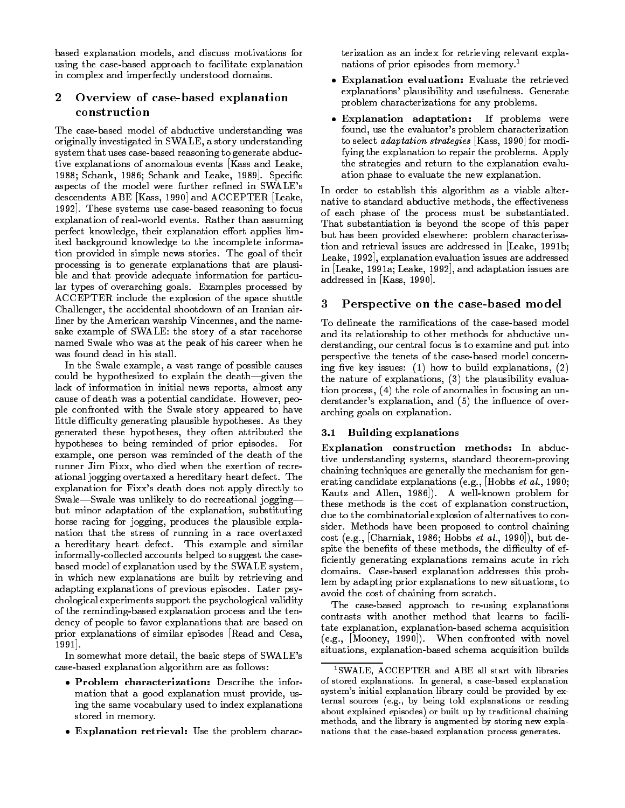based explanation models, and discuss motivations for using the case-based approach to facilitate explanation in complex and imperfectly understood domains.

### $\bf{2}$ Overview of case-based explanation construction

The case-based model of abductive understanding was originally investigated in SWALE, a story understanding system that uses case-based reasoning to generate abductive explanations of anomalous events [Kass and Leake, 1988; Schank, 1986; Schank and Leake, 1989. Specific aspects of the model were further refined in SWALE's descendents ABE [Kass, 1990] and ACCEPTER [Leake, 1992]. These systems use case-based reasoning to focus explanation of real-world events. Rather than assuming perfect knowledge, their explanation effort applies limited background knowledge to the incomplete information provided in simple news stories. The goal of their processing is to generate explanations that are plausible and that provide adequate information for particular types of overarching goals. Examples processed by ACCEPTER include the explosion of the space shuttle Challenger, the accidental shootdown of an Iranian airliner by the American warship Vincennes, and the namesake example of SWALE: the story of a star racehorse named Swale who was at the peak of his career when he was found dead in his stall.

In the Swale example, a vast range of possible causes could be hypothesized to explain the death-given the lack of information in initial news reports, almost any cause of death was a potential candidate. However, people confronted with the Swale story appeared to have little difficulty generating plausible hypotheses. As they generated these hypotheses, they often attributed the hypotheses to being reminded of prior episodes. For example, one person was reminded of the death of the runner Jim Fixx, who died when the exertion of recreational jogging overtaxed a hereditary heart defect. The explanation for Fixx's death does not apply directly to Swale-Swale was unlikely to do recreational joggingbut minor adaptation of the explanation, substituting horse racing for jogging, produces the plausible explanation that the stress of running in a race overtaxed a hereditary heart defect. This example and similar informally-collected accounts helped to suggest the casebased model of explanation used by the SWALE system, in which new explanations are built by retrieving and adapting explanations of previous episodes. Later psychological experiments support the psychological validity of the reminding-based explanation process and the tendency of people to favor explanations that are based on prior explanations of similar episodes [Read and Cesa, 1991].

In somewhat more detail, the basic steps of SWALE's case-based explanation algorithm are as follows:

- Problem characterization: Describe the information that a good explanation must provide, using the same vocabulary used to index explanations stored in memory.
- Explanation retrieval: Use the problem charac-

terization as an index for retrieving relevant explanations of prior episodes from memory.<sup>1</sup>

- $\bullet$  Explanation evaluation: Evaluate the retrieved explanations' plausibility and usefulness. Generate problem characterizations for any problems.
- Explanation adaptation: If problems were found, use the evaluator's problem characterization to select adaptation strategies [Kass, 1990] for modifying the explanation to repair the problems. Apply the strategies and return to the explanation evaluation phase to evaluate the new explanation.

In order to establish this algorithm as a viable alternative to standard abductive methods, the effectiveness of each phase of the process must be substantiated. That substantiation is beyond the scope of this paper but has been provided elsewhere: problem characterization and retrieval issues are addressed in [Leake, 1991b; Leake, 1992], explanation evaluation issues are addressed in [Leake, 1991a; Leake, 1992], and adaptation issues are addressed in [Kass, 1990].

## 3 Perspective on the case-based model

To delineate the ramications of the case-based model and its relationship to other methods for abductive unand its relationship to other methods for abductive unit  $\mathbb{R}^n$ derstanding, our central focus is to examine and put into perspective the tenets of the case-based model concerning five key issues: (1) how to build explanations,  $(2)$ the nature of explanations, (3) the plausibility evaluation process, (4) the role of anomalies in focusing an understander's explanation, and (5) the influence of overarching goals on explanation.

## 3.1 Building explanations

Explanation construction methods: In abductive understanding systems, standard theorem-proving chaining techniques are generally the mechanism for generating candidate explanations (e.g., [Hobbs et al., 1990; Kautz and Allen, 1986]). A well-known problem for these methods is the cost of explanation construction, due to the combinatorial explosion of alternatives to consider. Methods have been proposed to control chaining cost (e.g., [Charniak, 1986; Hobbs et al., 1990]), but despite the benefits of these methods, the difficulty of efficiently generating explanations remains acute in rich domains. Case-based explanation addresses this problem by adapting prior explanations to new situations, to avoid the cost of chaining from scratch.

The case-based approach to re-using explanations contrasts with another method that learns to facilitate explanation, explanation-based schema acquisition (e.g., [Mooney, 1990]). When confronted with novel situations, explanation-based schema acquisition builds

<sup>1</sup>SWALE, ACCEPTER and ABE all start with libraries of stored explanations. In general, a case-based explanation system's initial explanation library could be provided by external sources (e.g., by being told explanations or reading about explained episodes) or built up by traditional chaining methods, and the library is augmented by storing new explanations that the case-based explanation process generates.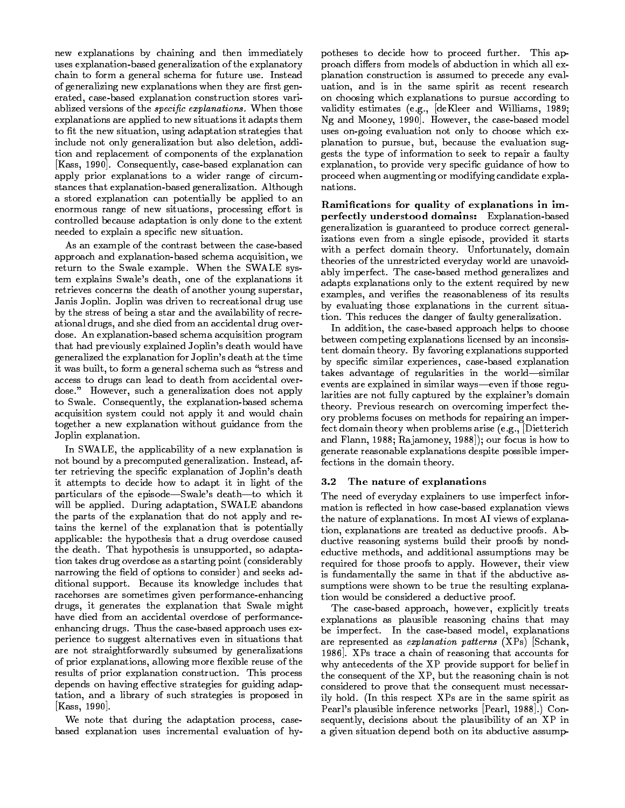new explanations by chaining and then immediately uses explanation-based generalization of the explanatory chain to form a general schema for future use. Instead of generalizing new explanations when they are first generated, case-based explanation construction stores variablized versions of the *specific explanations*. When those explanations are applied to new situations it adapts them to fit the new situation, using adaptation strategies that include not only generalization but also deletion, addition and replacement of components of the explanation [Kass, 1990]. Consequently, case-based explanation can apply prior explanations to a wider range of circumstances that explanation-based generalization. Although a stored explanation can potentially be applied to an enormous range of new situations, processing effort is controlled because adaptation is only done to the extent needed to explain a specic new situation.

As an example of the contrast between the case-based approach and explanation-based schema acquisition, we return to the Swale example. When the SWALE system explains Swale's death, one of the explanations it retrieves concerns the death of another young superstar, Janis Joplin. Joplin was driven to recreational drug use by the stress of being a star and the availability of recreational drugs, and she died from an accidental drug over dose. An explanation-based schema acquisition program that had previously explained Joplin's death would have generalized the explanation for Joplin's death at the time it was built, to form a general schema such as "stress and access to drugs can lead to death from accidental over dose." However, such a generalization does not apply to Swale. Consequently, the explanation-based schema acquisition system could not apply it and would chain together a new explanation without guidance from the Joplin explanation.

In SWALE, the applicability of a new explanation is not bound by a precomputed generalization. Instead, after retrieving the specic explanation of Joplin's death it attempts to decide how to adapt it in light of the particulars of the episode-Swale's death-to which it will be applied. During adaptation, SWALE abandons the parts of the explanation that do not apply and retains the kernel of the explanation that is potentially applicable: the hypothesis that a drug overdose caused the death. That hypothesis is unsupported, so adaptation takes drug overdose as a starting point (considerably narrowing the field of options to consider) and seeks additional support. Because its knowledge includes that racehorses are sometimes given performance-enhancing drugs, it generates the explanation that Swale might have died from an accidental overdose of performanceenhancing drugs. Thus the case-based approach uses experience to suggest alternatives even in situations that are not straightforwardly subsumed by generalizations of prior explanations, allowing more flexible reuse of the results of prior explanation construction. This process depends on having effective strategies for guiding adaptation, and a library of such strategies is proposed in [Kass, 1990].

We note that during the adaptation process, casebased explanation uses incremental evaluation of hypotheses to decide how to proceed further. This approach differs from models of abduction in which all explanation construction is assumed to precede any evaluation, and is in the same spirit as recent research on choosing which explanations to pursue according to validity estimates (e.g., [deKleer and Williams, 1989; Ng and Mooney, 1990]. However, the case-based model uses on-going evaluation not only to choose which explanation to pursue, but, because the evaluation suggests the type of information to seek to repair a faulty explanation, to provide very specific guidance of how to proceed when augmenting or modifying candidate explanations.

Ramications for quality of explanations in imperfectly understood domains: Explanation-based generalization is guaranteed to produce correct generalizations even from a single episode, provided it starts with a perfect domain theory. Unfortunately, domain theories of the unrestricted everyday world are unavoidably imperfect. The case-based method generalizes and adapts explanations only to the extent required by new examples, and verifies the reasonableness of its results by evaluating those explanations in the current situation. This reduces the danger of faulty generalization.

In addition, the case-based approach helps to choose between competing explanations licensed by an inconsistent domain theory. By favoring explanations supported by specic similar experiences, case-based explanation takes advantage of regularities in the world-similar events are explained in similar ways—even if those regularities are not fully captured by the explainer's domain theory. Previous research on overcoming imperfect theory problems focuses on methods for repairing an imperfect domain theory when problems arise (e.g., [Dietterich and Flann, 1988; Rajamoney, 1988]); our focus is how to generate reasonable explanations despite possible imperfections in the domain theory.

#### 3.2The nature of explanations

The need of everyday explainers to use imperfect information is reflected in how case-based explanation views the nature of explanations. In most AI views of explanation, explanations are treated as deductive proofs. Abductive reasoning systems build their proofs by nondeductive methods, and additional assumptions may be required for those proofs to apply. However, their view is fundamentally the same in that if the abductive assumptions were shown to be true the resulting explanation would be considered a deductive proof.

The case-based approach, however, explicitly treats explanations as plausible reasoning chains that may be imperfect. In the case-based model, explanations are represented as explanation patterns (XPs) [Schank, 1986]. XPs trace a chain of reasoning that accounts for why antecedents of the XP provide support for belief in the consequent of the XP, but the reasoning chain is not considered to prove that the consequent must necessarily hold. (In this respect XPs are in the same spirit as Pearl's plausible inference networks [Pearl, 1988].) Consequently, decisions about the plausibility of an XP in a given situation depend both on its abductive assump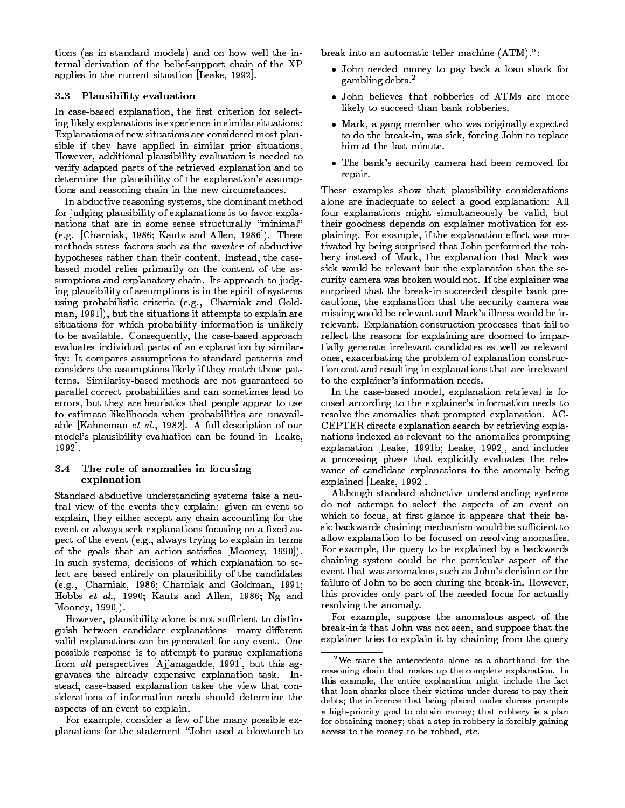tions (as in standard models) and on how well the internal derivation of the belief-support chain of the XP applies in the current situation [Leake, 1992].

### 3.3 Plausibility evaluation

In case-based explanation, the first criterion for selecting likely explanations is experience in similar situations: Explanations of new situations are considered most plausible if they have applied in similar prior situations. However, additional plausibility evaluation is needed to verify adapted parts of the retrieved explanation and to determine the plausibility of the explanation's assumptions and reasoning chain in the new circumstances.

In abductive reasoning systems, the dominant method for judging plausibility of explanations is to favor explanations that are in some sense structurally "minimal" (e.g. [Charniak, 1986; Kautz and Allen, 1986]). These methods stress factors such as the number of abductive hypotheses rather than their content. Instead, the casebased model relies primarily on the content of the assumptions and explanatory chain. Its approach to judging plausibility of assumptions is in the spirit of systems using probabilistic criteria (e.g., [Charniak and Goldman, 1991]), but the situations it attempts to explain are situations for which probability information is unlikely to be available. Consequently, the case-based approach evaluates individual parts of an explanation by similarity: It compares assumptions to standard patterns and considers the assumptions likely if they match those patterns. Similarity-based methods are not guaranteed to parallel correct probabilities and can sometimes lead to errors, but they are heuristics that people appear to use to estimate likelihoods when probabilities are unavailable [Kahneman et al., 1982]. A full description of our model's plausibility evaluation can be found in [Leake, 1992].

### 3.4 The role of anomalies in focusing explanation

Standard abductive understanding systems take a neutral view of the events they explain: given an event to explain, they either accept any chain accounting for the event or always seek explanations focusing on a fixed aspect of the event (e.g., always trying to explain in terms of the goals that an action satisfies  $[Mooney, 1990]$ . In such systems, decisions of which explanation to select are based entirely on plausibility of the candidates (e.g., [Charniak, 1986; Charniak and Goldman, 1991; Hobbs et al., 1990; Kautz and Allen, 1986; Ng and Mooney, 1990]).

However, plausibility alone is not sufficient to distinguish between candidate explanations-many different valid explanations can be generated for any event. One possible response is to attempt to pursue explanations from al<sup>l</sup> perspectives [Ajjanagadde, 1991], but this aggravates the already expensive explanation task. Instead, case-based explanation takes the view that considerations of information needs should determine the aspects of an event to explain.

For example, consider a few of the many possible explanations for the statement "John used a blowtorch to break into an automatic teller machine (ATM).":

- John needed money to pay back a loan shark for gambling debts.<sup>2</sup>
- John believes that robberies of ATMs are more likely to succeed than bank robberies.
- Mark, a gang member who was originally expected to do the break-in, was sick, forcing John to replace him at the last minute.
- The bank's security camera had been removed for repair.

These examples show that plausibility considerations alone are inadequate to select a good explanation: All four explanations might simultaneously be valid, but their goodness depends on explainer motivation for explaining. For example, if the explanation effort was motivated by being surprised that John performed the robbery instead of Mark, the explanation that Mark was sick would be relevant but the explanation that the security camera was broken would not. If the explainer was surprised that the break-in succeeded despite bank precautions, the explanation that the security camera was missing would be relevant and Mark's illness would be irrelevant. Explanation construction processes that fail to reflect the reasons for explaining are doomed to impartially generate irrelevant candidates as well as relevant ones, exacerbating the problem of explanation construction cost and resulting in explanations that are irrelevant to the explainer's information needs.

In the case-based model, explanation retrieval is focused according to the explainer's information needs to resolve the anomalies that prompted explanation. AC-CEPTER directs explanation search by retrieving explanations indexed as relevant to the anomalies prompting explanation [Leake, 1991b; Leake, 1992], and includes a processing phase that explicitly evaluates the relevance of candidate explanations to the anomaly being explained [Leake, 1992].

Although standard abductive understanding systems do not attempt to select the aspects of an event on which to focus, at first glance it appears that their basic backwards chaining mechanism would be sufficient to allow explanation to be focused on resolving anomalies. For example, the query to be explained by a backwards chaining system could be the particular aspect of the event that was anomalous, such as John's decision or the failure of John to be seen during the break-in. However, this provides only part of the needed focus for actually resolving the anomaly.

For example, suppose the anomalous aspect of the break-in is that John was not seen, and suppose that the explainer tries to explain it by chaining from the query

<sup>2</sup>We state the antecedents alone as a shorthand for the reasoning chain that makes up the complete explanation. In this example, the entire explanation might include the fact that loan sharks place their victims under duress to pay their debts; the inference that being placed under duress prompts a high-priority goal to obtain money; that robbery is a plan for obtaining money; that a step in robbery is forcibly gaining access to the money to be robbed, etc.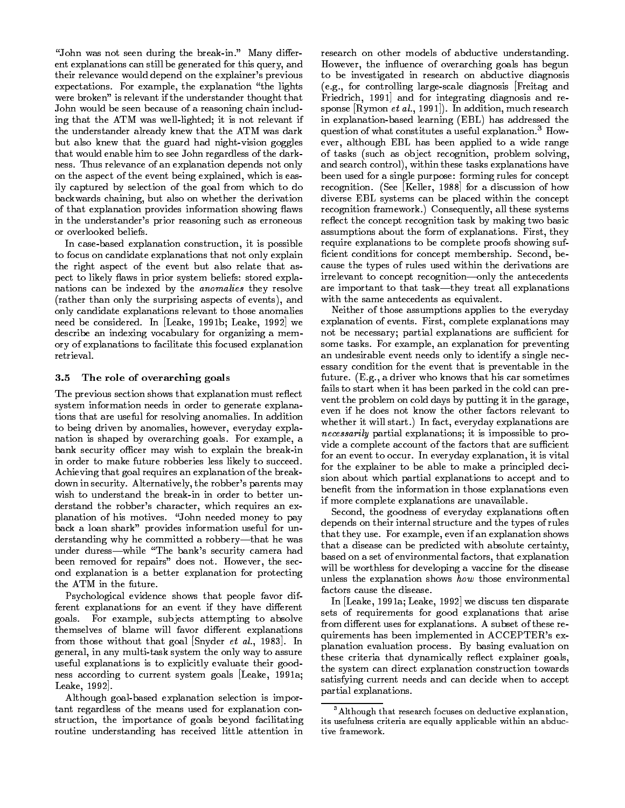"John was not seen during the break-in." Many different explanations can still be generated for this query, and their relevance would depend on the explainer's previous expectations. For example, the explanation "the lights were broken" is relevant if the understander thought that John would be seen because of a reasoning chain including that the ATM was well-lighted; it is not relevant if the understander already knew that the ATM was dark but also knew that the guard had night-vision goggles that would enable him to see John regardless of the darkness. Thus relevance of an explanation depends not only on the aspect of the event being explained, which is easily captured by selection of the goal from which to do backwards chaining, but also on whether the derivation of that explanation provides information showing flaws in the understander's prior reasoning such as erroneous or overlooked beliefs.

In case-based explanation construction, it is possible to focus on candidate explanations that not only explain the right aspect of the event but also relate that aspect to likely flaws in prior system beliefs: stored explanations can be indexed by the anomalies they resolve (rather than only the surprising aspects of events), and only candidate explanations relevant to those anomalies need be considered. In [Leake, 1991b; Leake, 1992] we describe an indexing vocabulary for organizing a memory of explanations to facilitate this focused explanation retrieval.

#### 3.5The role of overarching goals

The previous section shows that explanation must reflect system information needs in order to generate explanations that are useful for resolving anomalies. In addition to being driven by anomalies, however, everyday explanation is shaped by overarching goals. For example, a bank security officer may wish to explain the break-in in order to make future robberies less likely to succeed. Achieving that goal requires an explanation of the breakdown in security. Alternatively, the robber's parents may wish to understand the break-in in order to better understand the robber's character, which requires an explanation of his motives. "John needed money to pay back a loan shark" provides information useful for understanding why he committed a robbery-that he was under duress-while "The bank's security camera had been removed for repairs" does not. However, the second explanation is a better explanation for protecting the ATM in the future.

Psychological evidence shows that people favor different explanations for an event if they have different goals. For example, subjects attempting to absolve themselves of blame will favor different explanations from those without that goal [Snyder *et al.*, 1983]. In general, in any multi-task system the only way to assure useful explanations is to explicitly evaluate their goodness according to current system goals [Leake, 1991a; Leake, 1992].

Although goal-based explanation selection is important regardless of the means used for explanation construction, the importance of goals beyond facilitating routine understanding has received little attention in research on other models of abductive understanding. However, the influence of overarching goals has begun to be investigated in research on abductive diagnosis (e.g., for controlling large-scale diagnosis [Freitag and Friedrich, 1991] and for integrating diagnosis and response  $[\text{Rymon } et~al., 1991]$ . In addition, much research in explanation-based learning (EBL) has addressed the question of what constitutes a useful explanation.3 However, although EBL has been applied to a wide range of tasks (such as object recognition, problem solving, and search control), within these tasks explanations have been used for a single purpose: forming rules for concept recognition. (See [Keller, 1988] for a discussion of how diverse EBL systems can be placed within the concept recognition framework.) Consequently, all these systems reflect the concept recognition task by making two basic assumptions about the form of explanations. First, they require explanations to be complete proofs showing suf ficient conditions for concept membership. Second, because the types of rules used within the derivations are irrelevant to concept recognition—only the antecedents are important to that task—they treat all explanations with the same antecedents as equivalent.

Neither of those assumptions applies to the everyday explanation of events. First, complete explanations may not be necessary; partial explanations are sufficient for some tasks. For example, an explanation for preventing an undesirable event needs only to identify a single necessary condition for the event that is preventable in the future. (E.g., a driver who knows that his car sometimes fails to start when it has been parked in the cold can prevent the problem on cold days by putting it in the garage, even if he does not know the other factors relevant to whether it will start.) In fact, everyday explanations are necessarily partial explanations; it is impossible to provide a complete account of the factors that are sufficient for an event to occur. In everyday explanation, it is vital for the explainer to be able to make a principled decision about which partial explanations to accept and to benefit from the information in those explanations even if more complete explanations are unavailable.

Second, the goodness of everyday explanations often depends on their internal structure and the types of rules that they use. For example, even if an explanation shows that a disease can be predicted with absolute certainty, based on a set of environmental factors, that explanation will be worthless for developing a vaccine for the disease unless the explanation shows how those environmental factors cause the disease.

In [Leake, 1991a; Leake, 1992] we discuss ten disparate sets of requirements for good explanations that arise from different uses for explanations. A subset of these requirements has been implemented in ACCEPTER's explanation evaluation process. By basing evaluation on these criteria that dynamically reflect explainer goals, the system can direct explanation construction towards satisfying current needs and can decide when to accept partial explanations.

<sup>3</sup>Although that research focuses on deductive explanation, its usefulness criteria are equally applicable within an abductive framework.